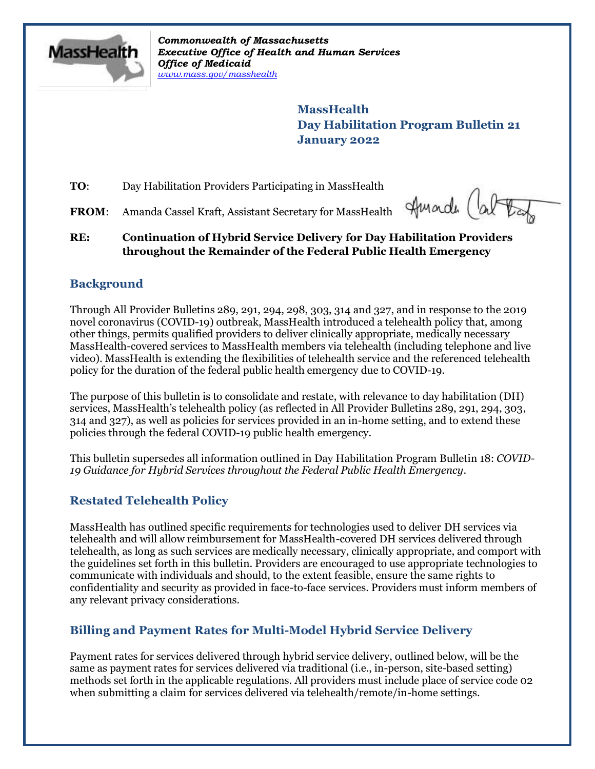

*Commonwealth of Massachusetts Executive Office of Health and Human Services Office of Medicaid [www.mass.gov/masshealth](http://www.mass.gov/masshealth)*

> **MassHealth Day Habilitation Program Bulletin 21 January 2022**

**TO:** Day Habilitation Providers Participating in MassHealth

FROM: Amanda Cassel Kraft, Assistant Secretary for MassHealth

Hunder (ab

### **RE: Continuation of Hybrid Service Delivery for Day Habilitation Providers throughout the Remainder of the Federal Public Health Emergency**

# **Background**

Through All Provider Bulletins 289, 291, 294, 298, 303, 314 and 327, and in response to the 2019 novel coronavirus (COVID-19) outbreak, MassHealth introduced a telehealth policy that, among other things, permits qualified providers to deliver clinically appropriate, medically necessary MassHealth-covered services to MassHealth members via telehealth (including telephone and live video). MassHealth is extending the flexibilities of telehealth service and the referenced telehealth policy for the duration of the federal public health emergency due to COVID-19.

The purpose of this bulletin is to consolidate and restate, with relevance to day habilitation (DH) services, MassHealth's telehealth policy (as reflected in All Provider Bulletins 289, 291, 294, 303, 314 and 327), as well as policies for services provided in an in-home setting, and to extend these policies through the federal COVID-19 public health emergency.

This bulletin supersedes all information outlined in Day Habilitation Program Bulletin 18: *COVID-19 Guidance for Hybrid Services throughout the Federal Public Health Emergency*.

# **Restated Telehealth Policy**

MassHealth has outlined specific requirements for technologies used to deliver DH services via telehealth and will allow reimbursement for MassHealth-covered DH services delivered through telehealth, as long as such services are medically necessary, clinically appropriate, and comport with the guidelines set forth in this bulletin. Providers are encouraged to use appropriate technologies to communicate with individuals and should, to the extent feasible, ensure the same rights to confidentiality and security as provided in face-to-face services. Providers must inform members of any relevant privacy considerations.

# **Billing and Payment Rates for Multi-Model Hybrid Service Delivery**

Payment rates for services delivered through hybrid service delivery, outlined below, will be the same as payment rates for services delivered via traditional (i.e., in-person, site-based setting) methods set forth in the applicable regulations. All providers must include place of service code 02 when submitting a claim for services delivered via telehealth/remote/in-home settings.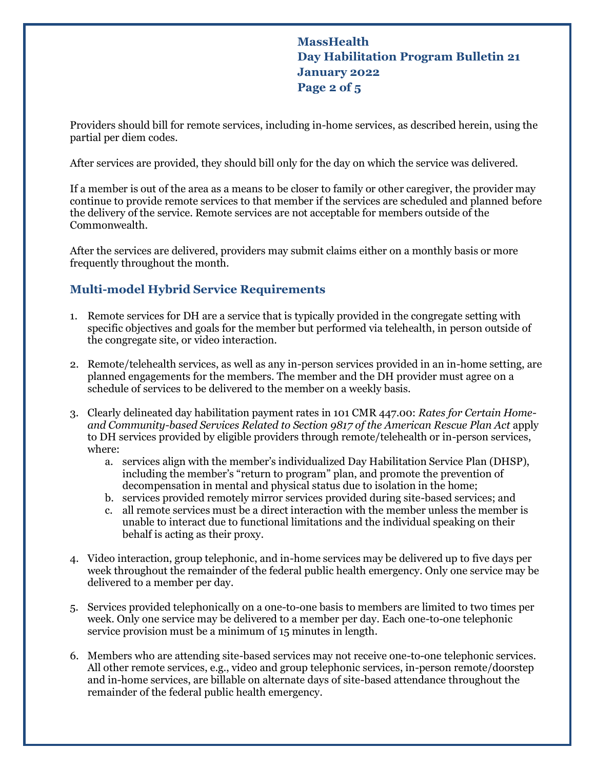**MassHealth Day Habilitation Program Bulletin 21 January 2022 Page 2 of 5**

Providers should bill for remote services, including in-home services, as described herein, using the partial per diem codes.

After services are provided, they should bill only for the day on which the service was delivered.

If a member is out of the area as a means to be closer to family or other caregiver, the provider may continue to provide remote services to that member if the services are scheduled and planned before the delivery of the service. Remote services are not acceptable for members outside of the Commonwealth.

After the services are delivered, providers may submit claims either on a monthly basis or more frequently throughout the month.

### **Multi-model Hybrid Service Requirements**

- 1. Remote services for DH are a service that is typically provided in the congregate setting with specific objectives and goals for the member but performed via telehealth, in person outside of the congregate site, or video interaction.
- 2. Remote/telehealth services, as well as any in-person services provided in an in-home setting, are planned engagements for the members. The member and the DH provider must agree on a schedule of services to be delivered to the member on a weekly basis.
- 3. Clearly delineated day habilitation payment rates in 101 CMR 447.00: *Rates for Certain Homeand Community-based Services Related to Section 9817 of the American Rescue Plan Act* apply to DH services provided by eligible providers through remote/telehealth or in-person services, where:
	- a. services align with the member's individualized Day Habilitation Service Plan (DHSP), including the member's "return to program" plan, and promote the prevention of decompensation in mental and physical status due to isolation in the home;
	- b. services provided remotely mirror services provided during site-based services; and
	- c. all remote services must be a direct interaction with the member unless the member is unable to interact due to functional limitations and the individual speaking on their behalf is acting as their proxy.
- 4. Video interaction, group telephonic, and in-home services may be delivered up to five days per week throughout the remainder of the federal public health emergency. Only one service may be delivered to a member per day.
- 5. Services provided telephonically on a one-to-one basis to members are limited to two times per week. Only one service may be delivered to a member per day. Each one-to-one telephonic service provision must be a minimum of 15 minutes in length.
- 6. Members who are attending site-based services may not receive one-to-one telephonic services. All other remote services, e.g., video and group telephonic services, in-person remote/doorstep and in-home services, are billable on alternate days of site-based attendance throughout the remainder of the federal public health emergency.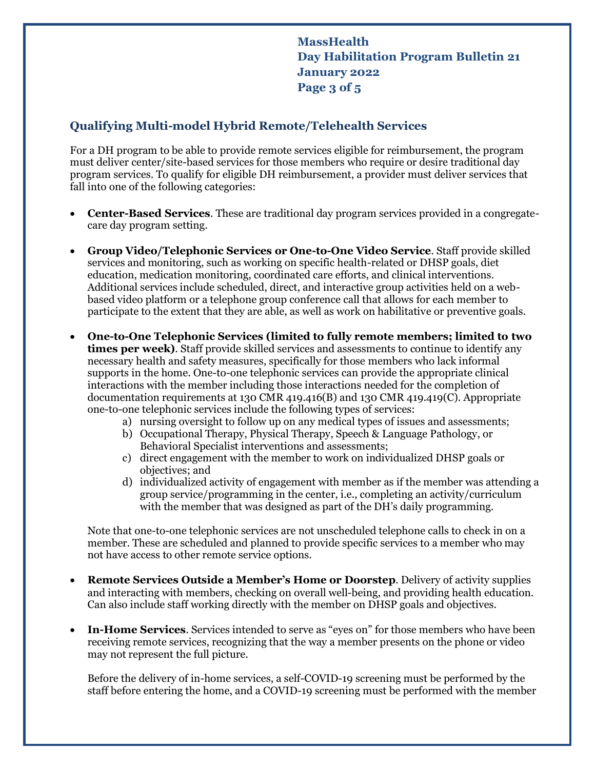**MassHealth Day Habilitation Program Bulletin 21 January 2022 Page 3 of 5**

### **Qualifying Multi-model Hybrid Remote/Telehealth Services**

For a DH program to be able to provide remote services eligible for reimbursement, the program must deliver center/site-based services for those members who require or desire traditional day program services. To qualify for eligible DH reimbursement, a provider must deliver services that fall into one of the following categories:

- **Center-Based Services**. These are traditional day program services provided in a congregatecare day program setting.
- **Group Video/Telephonic Services or One-to-One Video Service**. Staff provide skilled services and monitoring, such as working on specific health-related or DHSP goals, diet education, medication monitoring, coordinated care efforts, and clinical interventions. Additional services include scheduled, direct, and interactive group activities held on a webbased video platform or a telephone group conference call that allows for each member to participate to the extent that they are able, as well as work on habilitative or preventive goals.
- **One-to-One Telephonic Services (limited to fully remote members; limited to two times per week)**. Staff provide skilled services and assessments to continue to identify any necessary health and safety measures, specifically for those members who lack informal supports in the home. One-to-one telephonic services can provide the appropriate clinical interactions with the member including those interactions needed for the completion of documentation requirements at 130 CMR 419.416(B) and 130 CMR 419.419(C). Appropriate one-to-one telephonic services include the following types of services:
	- a) nursing oversight to follow up on any medical types of issues and assessments;
	- b) Occupational Therapy, Physical Therapy, Speech & Language Pathology, or Behavioral Specialist interventions and assessments;
	- c) direct engagement with the member to work on individualized DHSP goals or objectives; and
	- d) individualized activity of engagement with member as if the member was attending a group service/programming in the center, i.e., completing an activity/curriculum with the member that was designed as part of the DH's daily programming.

Note that one-to-one telephonic services are not unscheduled telephone calls to check in on a member. These are scheduled and planned to provide specific services to a member who may not have access to other remote service options.

- **Remote Services Outside a Member's Home or Doorstep**. Delivery of activity supplies and interacting with members, checking on overall well-being, and providing health education. Can also include staff working directly with the member on DHSP goals and objectives.
- **In-Home Services**. Services intended to serve as "eyes on" for those members who have been receiving remote services, recognizing that the way a member presents on the phone or video may not represent the full picture.

Before the delivery of in-home services, a self-COVID-19 screening must be performed by the staff before entering the home, and a COVID-19 screening must be performed with the member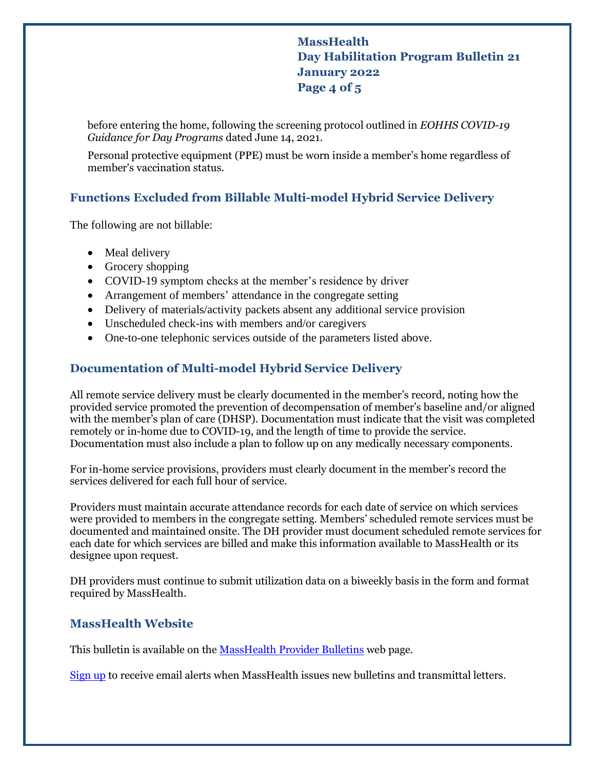### **MassHealth Day Habilitation Program Bulletin 21 January 2022 Page 4 of 5**

before entering the home, following the screening protocol outlined in *EOHHS COVID-19 Guidance for Day Programs* dated June 14, 2021.

Personal protective equipment (PPE) must be worn inside a member's home regardless of member's vaccination status.

## **Functions Excluded from Billable Multi-model Hybrid Service Delivery**

The following are not billable:

- Meal delivery
- Grocery shopping
- COVID-19 symptom checks at the member's residence by driver
- Arrangement of members' attendance in the congregate setting
- Delivery of materials/activity packets absent any additional service provision
- Unscheduled check-ins with members and/or caregivers
- One-to-one telephonic services outside of the parameters listed above.

### **Documentation of Multi-model Hybrid Service Delivery**

All remote service delivery must be clearly documented in the member's record, noting how the provided service promoted the prevention of decompensation of member's baseline and/or aligned with the member's plan of care (DHSP). Documentation must indicate that the visit was completed remotely or in-home due to COVID-19, and the length of time to provide the service. Documentation must also include a plan to follow up on any medically necessary components.

For in-home service provisions, providers must clearly document in the member's record the services delivered for each full hour of service.

Providers must maintain accurate attendance records for each date of service on which services were provided to members in the congregate setting. Members' scheduled remote services must be documented and maintained onsite. The DH provider must document scheduled remote services for each date for which services are billed and make this information available to MassHealth or its designee upon request.

DH providers must continue to submit utilization data on a biweekly basis in the form and format required by MassHealth.

#### **MassHealth Website**

This bulletin is available on th[e MassHealth Provider Bulletins](http://www.mass.gov/masshealth-provider-bulletins) web page.

[Sign up](https://www.mass.gov/forms/email-notifications-for-provider-bulletins-and-transmittal-letters) to receive email alerts when MassHealth issues new bulletins and transmittal letters.